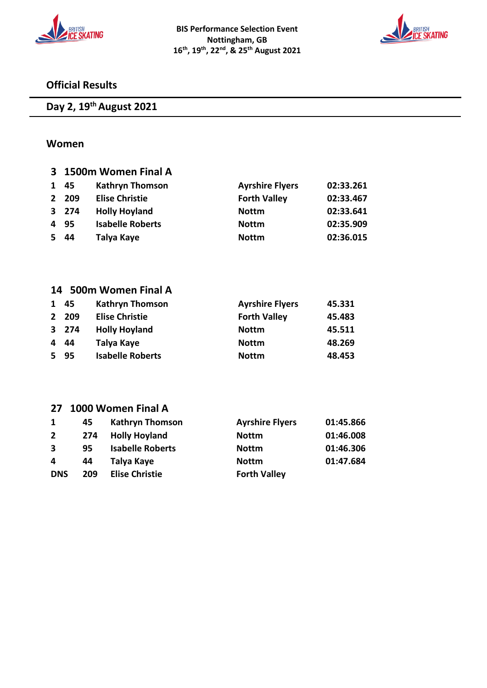



### **Official Results**

### **Day 2, 19th August 2021**

#### **Women**

|              | 3 1500m Women Final A |                         |                        |           |  |
|--------------|-----------------------|-------------------------|------------------------|-----------|--|
| 1            | 45                    | <b>Kathryn Thomson</b>  | <b>Ayrshire Flyers</b> | 02:33.261 |  |
| $\mathbf{2}$ | 209                   | <b>Elise Christie</b>   | <b>Forth Valley</b>    | 02:33.467 |  |
|              | 3 274                 | <b>Holly Hoyland</b>    | <b>Nottm</b>           | 02:33.641 |  |
| 4            | 95                    | <b>Isabelle Roberts</b> | <b>Nottm</b>           | 02:35.909 |  |
| 5.           | 44                    | Talya Kaye              | <b>Nottm</b>           | 02:36.015 |  |
|              |                       |                         |                        |           |  |
|              |                       |                         |                        |           |  |
|              |                       |                         |                        |           |  |

#### **14 500m Women Final A**

| 1  | 45    | <b>Kathryn Thomson</b>  | <b>Ayrshire Flyers</b> | 45.331 |
|----|-------|-------------------------|------------------------|--------|
|    | 2 209 | <b>Elise Christie</b>   | <b>Forth Valley</b>    | 45.483 |
|    | 3 274 | <b>Holly Hoyland</b>    | <b>Nottm</b>           | 45.511 |
| 4  | -44   | Talya Kaye              | <b>Nottm</b>           | 48.269 |
| 5. | -95   | <b>Isabelle Roberts</b> | <b>Nottm</b>           | 48.453 |

### **27 1000 Women Final A**

| 1            | 45  | <b>Kathryn Thomson</b>  | <b>Ayrshire Flyers</b> | 01:45.866 |
|--------------|-----|-------------------------|------------------------|-----------|
| $\mathbf{2}$ | 274 | <b>Holly Hoyland</b>    | <b>Nottm</b>           | 01:46.008 |
| 3            | 95  | <b>Isabelle Roberts</b> | <b>Nottm</b>           | 01:46.306 |
| 4            | 44  | Talya Kaye              | <b>Nottm</b>           | 01:47.684 |
| <b>DNS</b>   | 209 | <b>Elise Christie</b>   | <b>Forth Valley</b>    |           |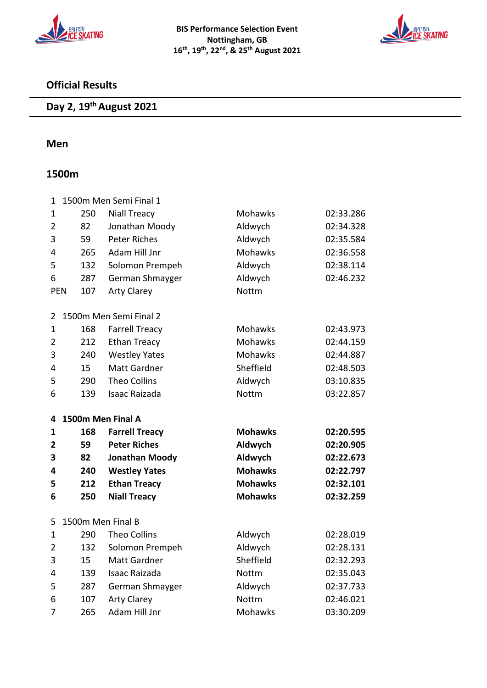



### **Official Results**

# **Day 2, 19th August 2021**

#### **Men**

### **1500m**

| $\mathbf 1$    |                   | 1500m Men Semi Final 1 |                |           |
|----------------|-------------------|------------------------|----------------|-----------|
| $\mathbf 1$    | 250               | <b>Niall Treacy</b>    | Mohawks        | 02:33.286 |
| $\overline{2}$ | 82                | Jonathan Moody         | Aldwych        | 02:34.328 |
| 3              | 59                | <b>Peter Riches</b>    | Aldwych        | 02:35.584 |
| 4              | 265               | Adam Hill Jnr          | Mohawks        | 02:36.558 |
| 5              | 132               | Solomon Prempeh        | Aldwych        | 02:38.114 |
| 6              | 287               | German Shmayger        | Aldwych        | 02:46.232 |
| <b>PEN</b>     | 107               | <b>Arty Clarey</b>     | <b>Nottm</b>   |           |
| 2              |                   | 1500m Men Semi Final 2 |                |           |
| $\mathbf 1$    | 168               | <b>Farrell Treacy</b>  | Mohawks        | 02:43.973 |
| $\overline{2}$ | 212               | <b>Ethan Treacy</b>    | <b>Mohawks</b> | 02:44.159 |
| 3              | 240               | <b>Westley Yates</b>   | Mohawks        | 02:44.887 |
| 4              | 15                | <b>Matt Gardner</b>    | Sheffield      | 02:48.503 |
| 5              | 290               | <b>Theo Collins</b>    | Aldwych        | 03:10.835 |
| 6              | 139               | <b>Isaac Raizada</b>   | <b>Nottm</b>   | 03:22.857 |
|                |                   |                        |                |           |
| 4              | 1500m Men Final A |                        |                |           |
| 1              | 168               | <b>Farrell Treacy</b>  | <b>Mohawks</b> | 02:20.595 |
| 2              | 59                | <b>Peter Riches</b>    | Aldwych        | 02:20.905 |
| 3              | 82                | <b>Jonathan Moody</b>  | Aldwych        | 02:22.673 |
| 4              | 240               | <b>Westley Yates</b>   | <b>Mohawks</b> | 02:22.797 |
| 5              | 212               | <b>Ethan Treacy</b>    | <b>Mohawks</b> | 02:32.101 |
| 6              | 250               | <b>Niall Treacy</b>    | <b>Mohawks</b> | 02:32.259 |
| 5              | 1500m Men Final B |                        |                |           |
| 1              | 290               | <b>Theo Collins</b>    | Aldwych        | 02:28.019 |
| $\overline{2}$ | 132               | Solomon Prempeh        | Aldwych        | 02:28.131 |
| 3              | 15                | <b>Matt Gardner</b>    | Sheffield      | 02:32.293 |
| 4              | 139               | <b>Isaac Raizada</b>   | Nottm          | 02:35.043 |
| 5              | 287               | German Shmayger        | Aldwych        | 02:37.733 |
| 6              | 107               | <b>Arty Clarey</b>     | <b>Nottm</b>   | 02:46.021 |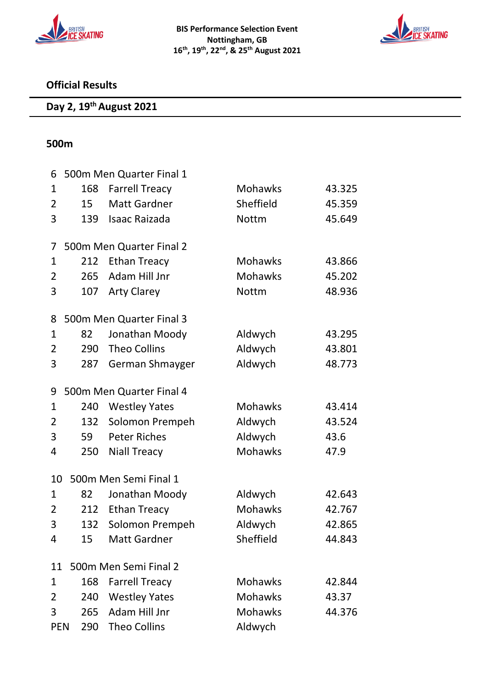



### **Official Results**

# **Day 2, 19th August 2021**

### **500m**

| 6              |     | 500m Men Quarter Final 1 |                |        |
|----------------|-----|--------------------------|----------------|--------|
| 1              | 168 | <b>Farrell Treacy</b>    | <b>Mohawks</b> | 43.325 |
| 2              | 15  | <b>Matt Gardner</b>      | Sheffield      | 45.359 |
| 3              | 139 | <b>Isaac Raizada</b>     | <b>Nottm</b>   | 45.649 |
| 7              |     | 500m Men Quarter Final 2 |                |        |
| 1              | 212 | <b>Ethan Treacy</b>      | <b>Mohawks</b> | 43.866 |
| $\overline{2}$ | 265 | Adam Hill Jnr            | <b>Mohawks</b> | 45.202 |
| 3              | 107 | <b>Arty Clarey</b>       | <b>Nottm</b>   | 48.936 |
| 8              |     | 500m Men Quarter Final 3 |                |        |
| 1              | 82  | Jonathan Moody           | Aldwych        | 43.295 |
| 2              | 290 | <b>Theo Collins</b>      | Aldwych        | 43.801 |
| 3              | 287 | German Shmayger          | Aldwych        | 48.773 |
| 9              |     | 500m Men Quarter Final 4 |                |        |
| 1              | 240 | <b>Westley Yates</b>     | <b>Mohawks</b> | 43.414 |
| 2              | 132 | Solomon Prempeh          | Aldwych        | 43.524 |
| 3              | 59  | <b>Peter Riches</b>      | Aldwych        | 43.6   |
| 4              | 250 | <b>Niall Treacy</b>      | <b>Mohawks</b> | 47.9   |
| 10             |     | 500m Men Semi Final 1    |                |        |
| 1              | 82  | Jonathan Moody           | Aldwych        | 42.643 |
| 2              | 212 | <b>Ethan Treacy</b>      | <b>Mohawks</b> | 42.767 |
| 3              | 132 | Solomon Prempeh          | Aldwych        | 42.865 |
| 4              | 15  | Matt Gardner             | Sheffield      | 44.843 |
| 11             |     | 500m Men Semi Final 2    |                |        |
| 1              | 168 | <b>Farrell Treacy</b>    | <b>Mohawks</b> | 42.844 |
| 2              | 240 | <b>Westley Yates</b>     | <b>Mohawks</b> | 43.37  |
| 3              | 265 | Adam Hill Jnr            | <b>Mohawks</b> | 44.376 |
| <b>PEN</b>     | 290 | Theo Collins             | Aldwych        |        |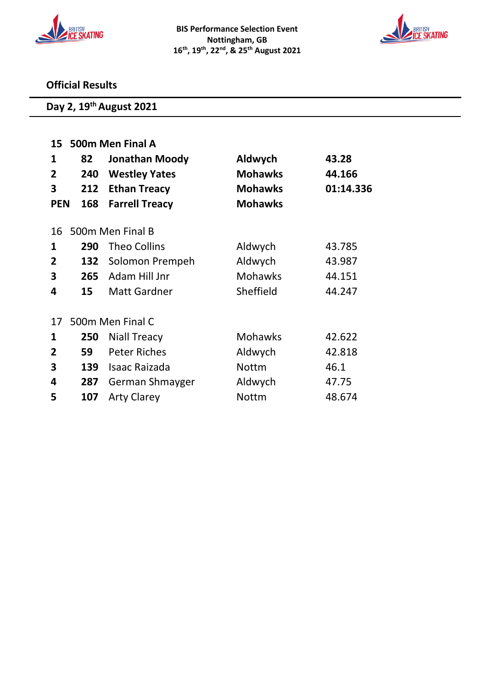



### **Official Results**

# **Day 2, 19th August 2021**

|                | 15 500m Men Final A |                       |                |           |  |  |
|----------------|---------------------|-----------------------|----------------|-----------|--|--|
| 1              | 82                  | Jonathan Moody        | Aldwych        | 43.28     |  |  |
| $\overline{2}$ | 240                 | <b>Westley Yates</b>  | <b>Mohawks</b> | 44.166    |  |  |
| 3              | 212                 | <b>Ethan Treacy</b>   | <b>Mohawks</b> | 01:14.336 |  |  |
| <b>PEN</b>     | 168                 | <b>Farrell Treacy</b> | <b>Mohawks</b> |           |  |  |
|                |                     |                       |                |           |  |  |
| 16             |                     | 500m Men Final B      |                |           |  |  |
| 1              | 290                 | <b>Theo Collins</b>   | Aldwych        | 43.785    |  |  |
| 2              | 132                 | Solomon Prempeh       | Aldwych        | 43.987    |  |  |
| 3              | 265                 | Adam Hill Jnr         | <b>Mohawks</b> | 44.151    |  |  |
| 4              | 15                  | <b>Matt Gardner</b>   | Sheffield      | 44.247    |  |  |
| 17             |                     | 500m Men Final C      |                |           |  |  |
|                |                     |                       |                |           |  |  |
| 1              | 250                 | <b>Niall Treacy</b>   | <b>Mohawks</b> | 42.622    |  |  |
| $\overline{2}$ | 59                  | <b>Peter Riches</b>   | Aldwych        | 42.818    |  |  |
| 3              | 139                 | Isaac Raizada         | <b>Nottm</b>   | 46.1      |  |  |
| 4              | 287                 | German Shmayger       | Aldwych        | 47.75     |  |  |
| 5              | 107                 | <b>Arty Clarey</b>    | <b>Nottm</b>   | 48.674    |  |  |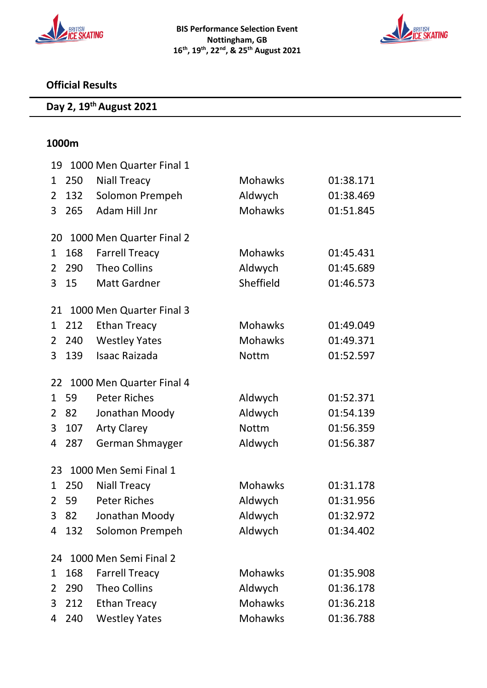



### **Official Results**

# **Day 2, 19th August 2021**

#### **1000m**

| 19           | 1000 Men Quarter Final 1 |                          |                |           |  |  |
|--------------|--------------------------|--------------------------|----------------|-----------|--|--|
| $\mathbf{1}$ | 250                      | <b>Niall Treacy</b>      | <b>Mohawks</b> | 01:38.171 |  |  |
| 2            | 132                      | Solomon Prempeh          | Aldwych        | 01:38.469 |  |  |
| 3            | 265                      | Adam Hill Jnr            | <b>Mohawks</b> | 01:51.845 |  |  |
|              |                          |                          |                |           |  |  |
| 20           |                          | 1000 Men Quarter Final 2 |                |           |  |  |
| 1            | 168                      | <b>Farrell Treacy</b>    | <b>Mohawks</b> | 01:45.431 |  |  |
| 2            | 290                      | <b>Theo Collins</b>      | Aldwych        | 01:45.689 |  |  |
| 3            | 15                       | <b>Matt Gardner</b>      | Sheffield      | 01:46.573 |  |  |
| 21           |                          | 1000 Men Quarter Final 3 |                |           |  |  |
| 1            | 212                      | <b>Ethan Treacy</b>      | Mohawks        | 01:49.049 |  |  |
| 2            | 240                      | <b>Westley Yates</b>     | Mohawks        | 01:49.371 |  |  |
| 3            | 139                      | <b>Isaac Raizada</b>     | <b>Nottm</b>   | 01:52.597 |  |  |
| 22           |                          | 1000 Men Quarter Final 4 |                |           |  |  |
| $\mathbf{1}$ | 59                       | <b>Peter Riches</b>      | Aldwych        | 01:52.371 |  |  |
| 2            | 82                       | Jonathan Moody           | Aldwych        | 01:54.139 |  |  |
| 3            | 107                      | <b>Arty Clarey</b>       | <b>Nottm</b>   | 01:56.359 |  |  |
| 4            | 287                      | German Shmayger          | Aldwych        | 01:56.387 |  |  |
| 23           |                          | 1000 Men Semi Final 1    |                |           |  |  |
| 1            | 250                      | <b>Niall Treacy</b>      | <b>Mohawks</b> | 01:31.178 |  |  |
| 2            | 59                       | <b>Peter Riches</b>      | Aldwych        | 01:31.956 |  |  |
| 3            | 82                       | Jonathan Moody           | Aldwych        | 01:32.972 |  |  |
| 4            | 132                      | Solomon Prempeh          | Aldwych        | 01:34.402 |  |  |
|              |                          |                          |                |           |  |  |
| 24           |                          | 1000 Men Semi Final 2    |                |           |  |  |
| 1            | 168                      | <b>Farrell Treacy</b>    | <b>Mohawks</b> | 01:35.908 |  |  |
| 2            | 290                      | <b>Theo Collins</b>      | Aldwych        | 01:36.178 |  |  |
| 3            | 212                      | <b>Ethan Treacy</b>      | <b>Mohawks</b> | 01:36.218 |  |  |
| 4            | 240                      | <b>Westley Yates</b>     | <b>Mohawks</b> | 01:36.788 |  |  |